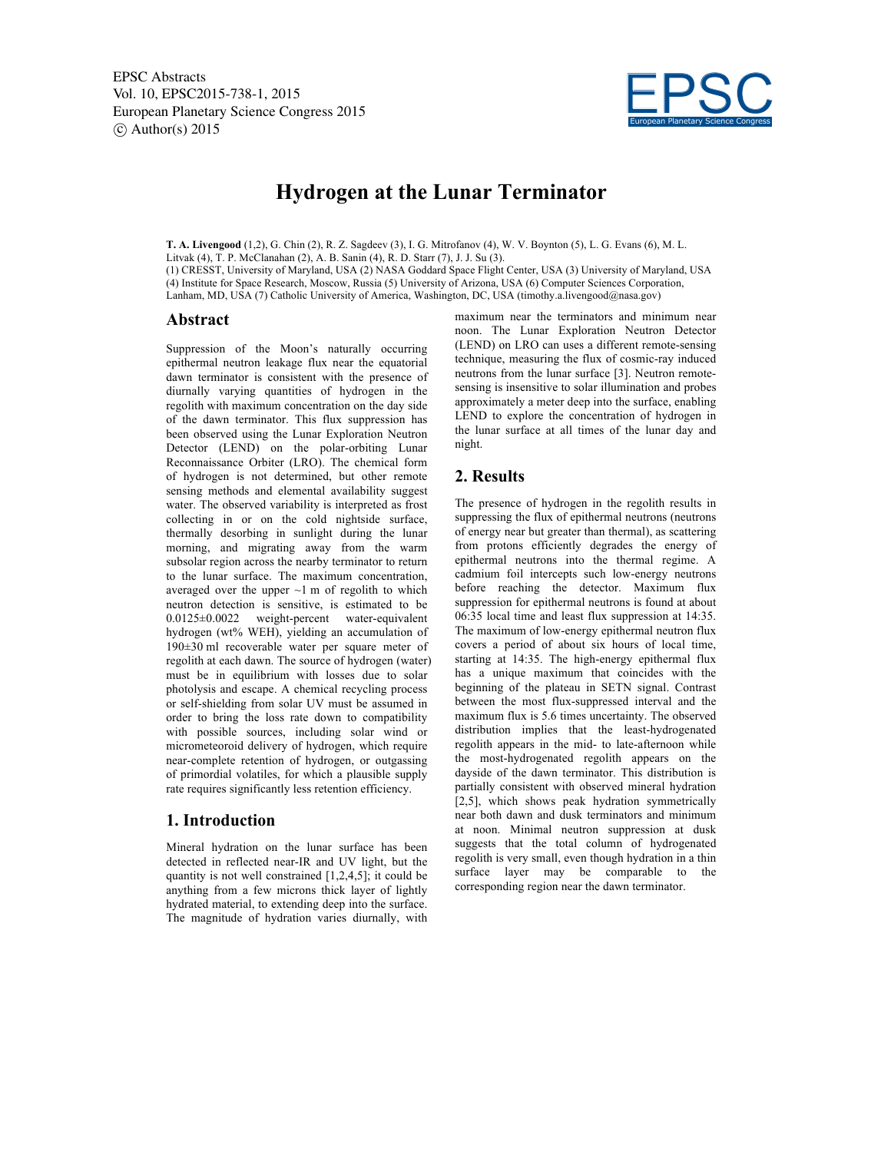

# **Hydrogen at the Lunar Terminator**

**T. A. Livengood** (1,2), G. Chin (2), R. Z. Sagdeev (3), I. G. Mitrofanov (4), W. V. Boynton (5), L. G. Evans (6), M. L.

Litvak (4), T. P. McClanahan (2), A. B. Sanin (4), R. D. Starr (7), J. J. Su (3).

(1) CRESST, University of Maryland, USA (2) NASA Goddard Space Flight Center, USA (3) University of Maryland, USA (4) Institute for Space Research, Moscow, Russia (5) University of Arizona, USA (6) Computer Sciences Corporation, Lanham, MD, USA (7) Catholic University of America, Washington, DC, USA (timothy.a.livengood@nasa.gov)

#### **Abstract**

Suppression of the Moon's naturally occurring epithermal neutron leakage flux near the equatorial dawn terminator is consistent with the presence of diurnally varying quantities of hydrogen in the regolith with maximum concentration on the day side of the dawn terminator. This flux suppression has been observed using the Lunar Exploration Neutron Detector (LEND) on the polar-orbiting Lunar Reconnaissance Orbiter (LRO). The chemical form of hydrogen is not determined, but other remote sensing methods and elemental availability suggest water. The observed variability is interpreted as frost collecting in or on the cold nightside surface, thermally desorbing in sunlight during the lunar morning, and migrating away from the warm subsolar region across the nearby terminator to return to the lunar surface. The maximum concentration, averaged over the upper  $\sim$ 1 m of regolith to which neutron detection is sensitive, is estimated to be 0.0125±0.0022 weight-percent water-equivalent hydrogen (wt% WEH), yielding an accumulation of 190±30 ml recoverable water per square meter of regolith at each dawn. The source of hydrogen (water) must be in equilibrium with losses due to solar photolysis and escape. A chemical recycling process or self-shielding from solar UV must be assumed in order to bring the loss rate down to compatibility with possible sources, including solar wind or micrometeoroid delivery of hydrogen, which require near-complete retention of hydrogen, or outgassing of primordial volatiles, for which a plausible supply rate requires significantly less retention efficiency.

### **1. Introduction**

Mineral hydration on the lunar surface has been detected in reflected near-IR and UV light, but the quantity is not well constrained [1,2,4,5]; it could be anything from a few microns thick layer of lightly hydrated material, to extending deep into the surface. The magnitude of hydration varies diurnally, with

maximum near the terminators and minimum near noon. The Lunar Exploration Neutron Detector (LEND) on LRO can uses a different remote-sensing technique, measuring the flux of cosmic-ray induced neutrons from the lunar surface [3]. Neutron remotesensing is insensitive to solar illumination and probes approximately a meter deep into the surface, enabling LEND to explore the concentration of hydrogen in the lunar surface at all times of the lunar day and night.

## **2. Results**

The presence of hydrogen in the regolith results in suppressing the flux of epithermal neutrons (neutrons of energy near but greater than thermal), as scattering from protons efficiently degrades the energy of epithermal neutrons into the thermal regime. A cadmium foil intercepts such low-energy neutrons before reaching the detector. Maximum flux suppression for epithermal neutrons is found at about 06:35 local time and least flux suppression at 14:35. The maximum of low-energy epithermal neutron flux covers a period of about six hours of local time, starting at 14:35. The high-energy epithermal flux has a unique maximum that coincides with the beginning of the plateau in SETN signal. Contrast between the most flux-suppressed interval and the maximum flux is 5.6 times uncertainty. The observed distribution implies that the least-hydrogenated regolith appears in the mid- to late-afternoon while the most-hydrogenated regolith appears on the dayside of the dawn terminator. This distribution is partially consistent with observed mineral hydration [2,5], which shows peak hydration symmetrically near both dawn and dusk terminators and minimum at noon. Minimal neutron suppression at dusk suggests that the total column of hydrogenated regolith is very small, even though hydration in a thin surface layer may be comparable to the corresponding region near the dawn terminator.